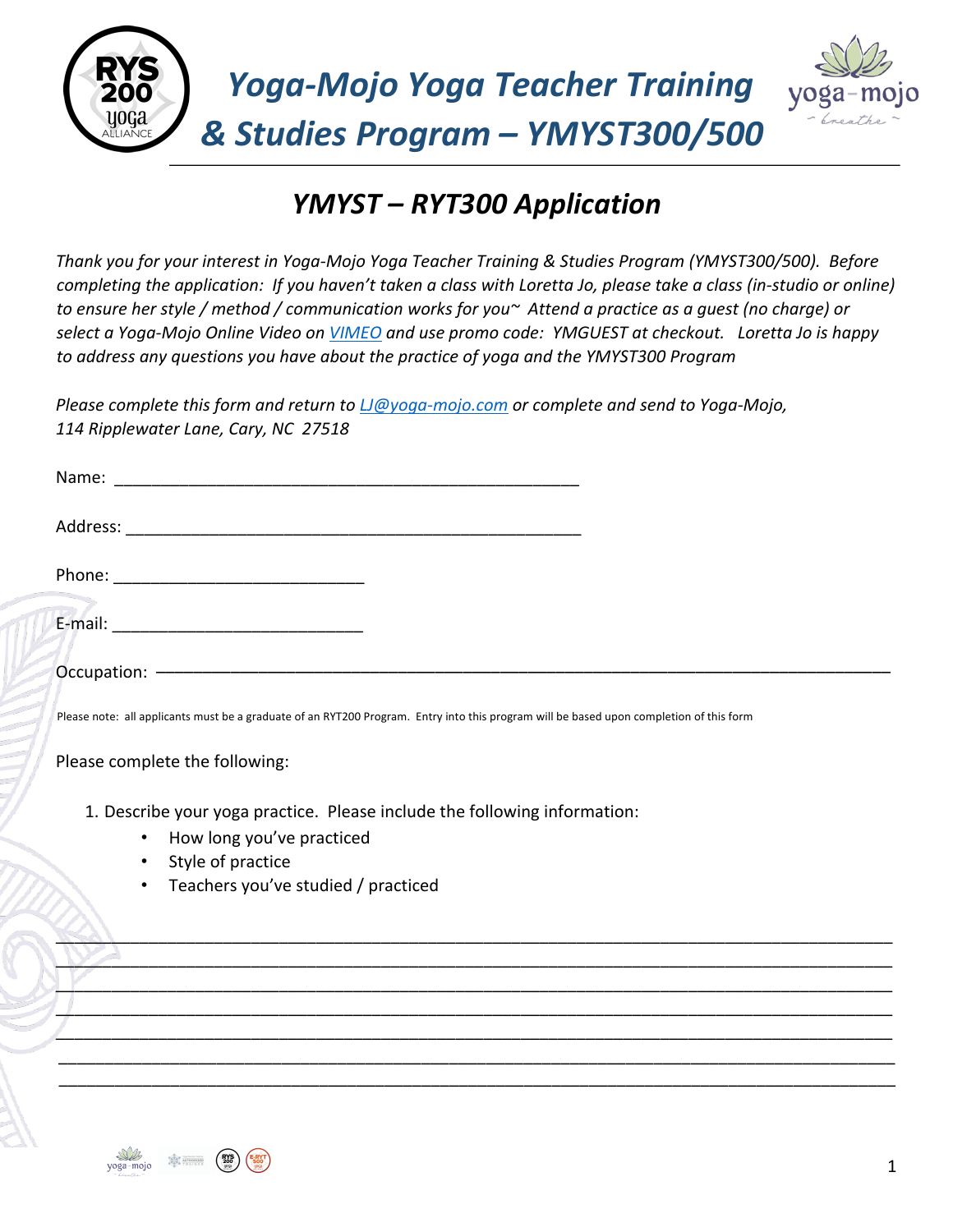



## *YMYST – RYT300 Application*

*Thank you for your interest in Yoga-Mojo Yoga Teacher Training & Studies Program (YMYST300/500). Before completing the application: If you haven't taken a class with Loretta Jo, please take a class (in-studio or online) to ensure her style / method / communication works for you~ Attend a practice as a guest (no charge) or select a Yoga-Mojo Online Video on VIMEO and use promo code: YMGUEST at checkout. Loretta Jo is happy to address any questions you have about the practice of yoga and the YMYST300 Program*

*Please complete this form and return to LJ@yoga-mojo.com or complete and send to Yoga-Mojo, 114 Ripplewater Lane, Cary, NC 27518* 

| Please note: all applicants must be a graduate of an RYT200 Program. Entry into this program will be based upon completion of this form |  |
|-----------------------------------------------------------------------------------------------------------------------------------------|--|

[\\$<u>^</u>  $\frac{1}{2}$ \_\_\_\_\_\_\_\_\_\_\_\_\_\_\_\_\_\_\_\_\_\_\_\_\_\_\_\_\_\_\_\_\_\_\_\_\_\_\_\_\_\_\_\_\_\_\_\_\_\_\_\_\_\_\_\_\_\_\_\_\_\_\_\_\_\_\_\_\_\_\_\_\_\_\_\_\_\_\_\_\_\_\_\_\_\_\_\_\_\_ \_\_\_\_\_\_\_\_\_\_\_\_\_\_\_\_\_\_\_\_\_\_\_\_\_\_\_\_\_\_\_\_\_\_\_\_\_\_\_\_\_\_\_\_\_\_\_\_\_\_\_\_\_\_\_\_\_\_\_\_\_\_\_\_\_\_\_\_\_\_\_\_\_\_\_\_\_\_\_\_\_\_\_\_\_\_\_\_\_\_ \_\_\_\_\_\_\_\_\_\_\_\_\_\_\_\_\_\_\_\_\_\_\_\_\_\_\_\_\_\_\_\_\_\_\_\_\_\_\_\_\_\_\_\_\_\_\_\_\_\_\_\_\_\_\_\_\_\_\_\_\_\_\_\_\_\_\_\_\_\_\_\_\_\_\_\_\_\_\_\_\_\_\_\_\_\_\_\_\_\_ \_\_\_\_\_\_\_\_\_\_\_\_\_\_\_\_\_\_\_\_\_\_\_\_\_\_\_\_\_\_\_\_\_\_\_\_\_\_\_\_\_\_\_\_\_\_\_\_\_\_\_\_\_\_\_\_\_\_\_\_\_\_\_\_\_\_\_\_\_\_\_\_\_\_\_\_\_\_\_\_\_\_\_\_\_\_\_\_\_\_ \_\_\_\_\_\_\_\_\_\_\_\_\_\_\_\_\_\_\_\_\_\_\_\_\_\_\_\_\_\_\_\_\_\_\_\_\_\_\_\_\_\_\_\_\_\_\_\_\_\_\_\_\_\_\_\_\_\_\_\_\_\_\_\_\_\_\_\_\_\_\_\_\_\_\_\_\_\_\_\_\_\_\_\_\_\_\_\_\_\_

Please complete the following:

1. Describe your yoga practice. Please include the following information:

- How long you've practiced
- Style of practice
- Teachers you've studied / practiced

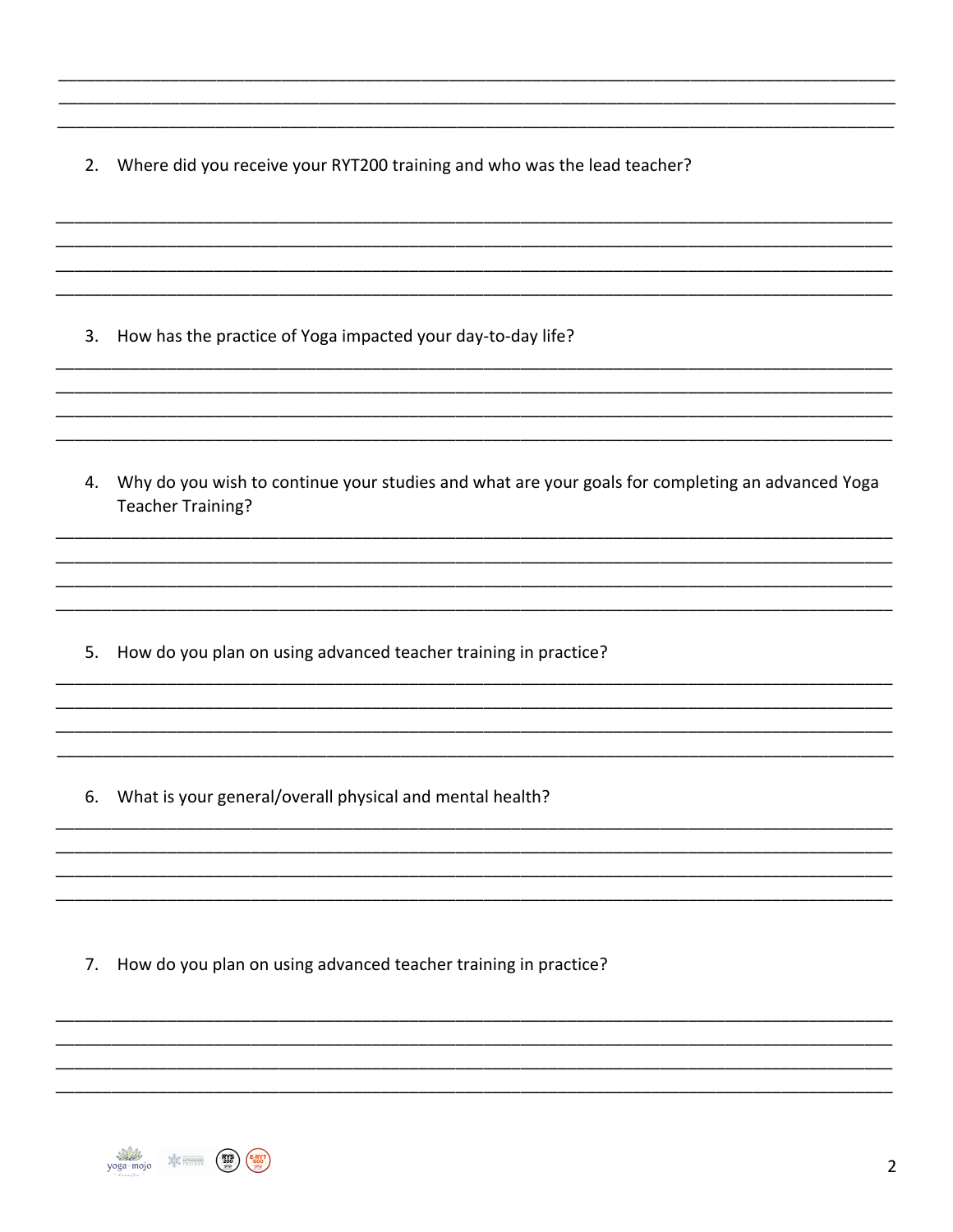2. Where did you receive your RYT200 training and who was the lead teacher?

- 3. How has the practice of Yoga impacted your day-to-day life?
- 4. Why do you wish to continue your studies and what are your goals for completing an advanced Yoga **Teacher Training?**
- 5. How do you plan on using advanced teacher training in practice?
- 6. What is your general/overall physical and mental health?

7. How do you plan on using advanced teacher training in practice?